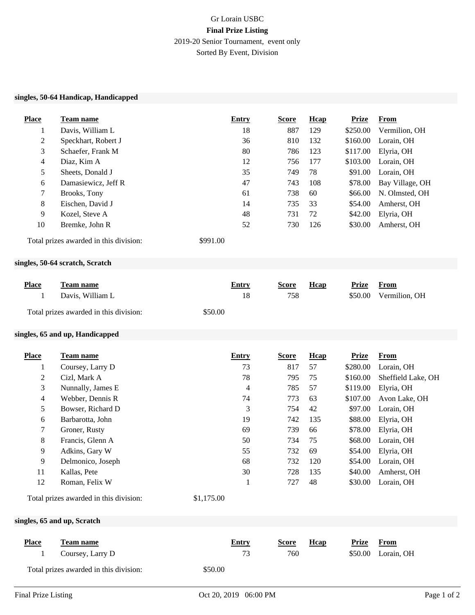## Gr Lorain USBC **Final Prize Listing** 2019-20 Senior Tournament, event only Sorted By Event, Division

## **singles, 50-64 Handicap, Handicapped**

| <b>Place</b>                           | Team name                              |            | <b>Entry</b> | <b>Score</b> | Hcap   | <b>Prize</b> | <b>From</b>        |
|----------------------------------------|----------------------------------------|------------|--------------|--------------|--------|--------------|--------------------|
| 1                                      | Davis, William L                       |            | 18           | 887          | 129    | \$250.00     | Vermilion, OH      |
| $\mathbf{2}$                           | Speckhart, Robert J                    |            | 36           | 810          | 132    | \$160.00     | Lorain, OH         |
| 3                                      | Schaefer, Frank M                      |            | 80           | 786          | 123    | \$117.00     | Elyria, OH         |
| $\overline{\mathbf{4}}$                | Diaz, Kim A                            |            | 12           | 756          | 177    | \$103.00     | Lorain, OH         |
| 5                                      | Sheets, Donald J                       |            | 35           | 749          | $78\,$ | \$91.00      | Lorain, OH         |
| 6                                      | Damasiewicz, Jeff R                    |            | 47           | 743          | 108    | \$78.00      | Bay Village, OH    |
| 7                                      | Brooks, Tony                           |            | 61           | 738          | 60     | \$66.00      | N. Olmsted, OH     |
| 8                                      | Eischen, David J                       |            | 14           | 735          | 33     | \$54.00      | Amherst, OH        |
| 9                                      | Kozel, Steve A                         |            | 48           | 731          | 72     | \$42.00      | Elyria, OH         |
| 10                                     | Bremke, John R                         |            | 52           | 730          | 126    | \$30.00      | Amherst, OH        |
| Total prizes awarded in this division: |                                        | \$991.00   |              |              |        |              |                    |
|                                        | singles, 50-64 scratch, Scratch        |            |              |              |        |              |                    |
| <b>Place</b>                           | Team name                              |            | <b>Entry</b> | <b>Score</b> | Hcap   | <b>Prize</b> | <b>From</b>        |
| 1                                      | Davis, William L                       |            | 18           | 758          |        | \$50.00      | Vermilion, OH      |
|                                        |                                        |            |              |              |        |              |                    |
|                                        | Total prizes awarded in this division: | \$50.00    |              |              |        |              |                    |
|                                        | singles, 65 and up, Handicapped        |            |              |              |        |              |                    |
| <b>Place</b>                           | Team name                              |            | <b>Entry</b> | <b>Score</b> | Hcap   | <b>Prize</b> | <b>From</b>        |
| $\mathbf{1}$                           | Coursey, Larry D                       |            | 73           | 817          | 57     | \$280.00     | Lorain, OH         |
| $\mathbf{2}$                           | Cizl, Mark A                           |            | 78           | 795          | 75     | \$160.00     | Sheffield Lake, OH |
| 3                                      | Nunnally, James E                      |            | 4            | 785          | 57     | \$119.00     | Elyria, OH         |
| 4                                      | Webber, Dennis R                       |            | 74           | 773          | 63     | \$107.00     | Avon Lake, OH      |
| 5                                      | Bowser, Richard D                      |            | 3            | 754          | 42     | \$97.00      | Lorain, OH         |
| 6                                      | Barbarotta, John                       |            | 19           | 742          | 135    | \$88.00      | Elyria, OH         |
| $\overline{7}$                         | Groner, Rusty                          |            | 69           | 739          | 66     | \$78.00      | Elyria, OH         |
| 8                                      | Francis, Glenn A                       |            | 50           | 734          | 75     | \$68.00      | Lorain, OH         |
| 9                                      | Adkins, Gary W                         |            | 55           | 732          | 69     | \$54.00      | Elyria, OH         |
| 9                                      | Delmonico, Joseph                      |            | 68           | 732          | 120    | \$54.00      | Lorain, OH         |
| 11                                     | Kallas, Pete                           |            | 30           | 728          | 135    | \$40.00      | Amherst, OH        |
| 12                                     | Roman, Felix W                         |            | $\mathbf{1}$ | 727          | 48     | \$30.00      | Lorain, OH         |
| Total prizes awarded in this division: |                                        | \$1,175.00 |              |              |        |              |                    |

## **singles, 65 and up, Scratch**

| <b>Place</b>                           | Team name        | Entry   | <b>Score</b> | Hcap | Prize | From               |
|----------------------------------------|------------------|---------|--------------|------|-------|--------------------|
|                                        | Coursey, Larry D |         | 760          |      |       | \$50.00 Lorain, OH |
| Total prizes awarded in this division: |                  | \$50.00 |              |      |       |                    |